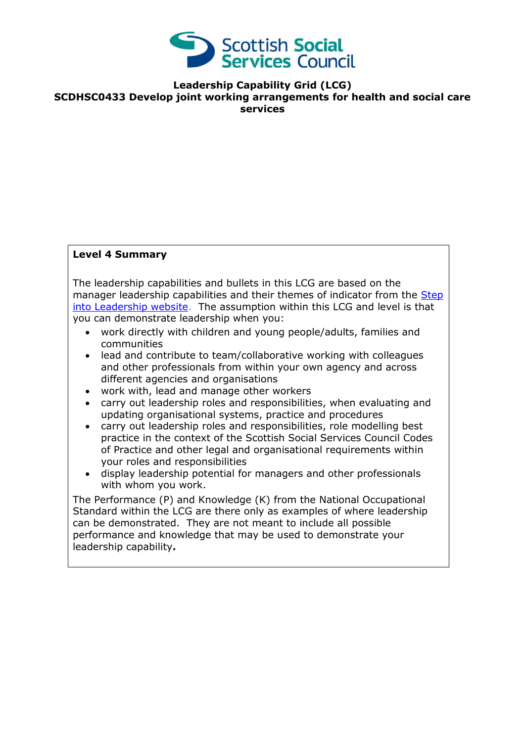

**Leadership Capability Grid (LCG) SCDHSC0433 Develop joint working arrangements for health and social care services**

## **Level 4 Summary**

The leadership capabilities and bullets in this LCG are based on the manager leadership capabilities and their themes of indicator from the Step [into Leadership website.](http://www.stepintoleadership.info/index.html) The assumption within this LCG and level is that you can demonstrate leadership when you:

- work directly with children and young people/adults, families and communities
- lead and contribute to team/collaborative working with colleagues and other professionals from within your own agency and across different agencies and organisations
- work with, lead and manage other workers
- carry out leadership roles and responsibilities, when evaluating and updating organisational systems, practice and procedures
- carry out leadership roles and responsibilities, role modelling best practice in the context of the Scottish Social Services Council Codes of Practice and other legal and organisational requirements within your roles and responsibilities
- display leadership potential for managers and other professionals with whom you work.

The Performance (P) and Knowledge (K) from the National Occupational Standard within the LCG are there only as examples of where leadership can be demonstrated. They are not meant to include all possible performance and knowledge that may be used to demonstrate your leadership capability**.**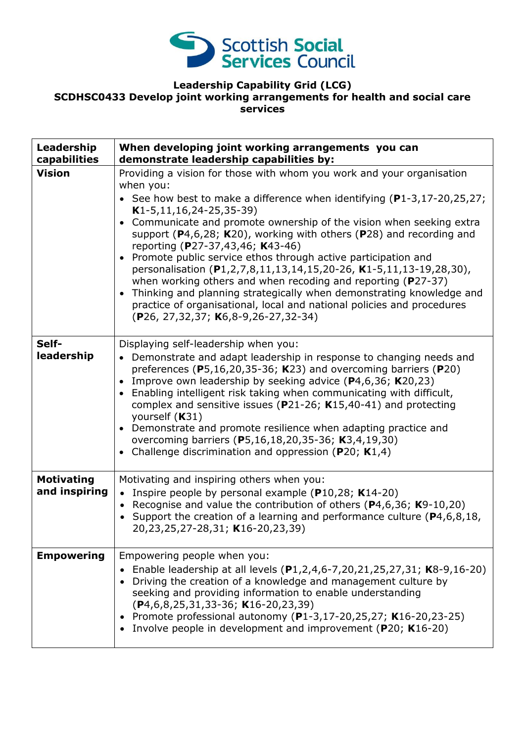

## **Leadership Capability Grid (LCG) SCDHSC0433 Develop joint working arrangements for health and social care services**

| Leadership<br>capabilities         | When developing joint working arrangements you can<br>demonstrate leadership capabilities by:                                                                                                                                                                                                                                                                                                                                                                                                                                                                                                                                                                                                                                                                                                                                |
|------------------------------------|------------------------------------------------------------------------------------------------------------------------------------------------------------------------------------------------------------------------------------------------------------------------------------------------------------------------------------------------------------------------------------------------------------------------------------------------------------------------------------------------------------------------------------------------------------------------------------------------------------------------------------------------------------------------------------------------------------------------------------------------------------------------------------------------------------------------------|
| <b>Vision</b>                      | Providing a vision for those with whom you work and your organisation<br>when you:<br>• See how best to make a difference when identifying $(P1-3, 17-20, 25, 27)$ ;<br>$K1-5, 11, 16, 24-25, 35-39)$<br>Communicate and promote ownership of the vision when seeking extra<br>$\bullet$<br>support ( $P4,6,28$ ; K20), working with others ( $P28$ ) and recording and<br>reporting (P27-37,43,46; K43-46)<br>Promote public service ethos through active participation and<br>personalisation (P1,2,7,8,11,13,14,15,20-26, K1-5,11,13-19,28,30),<br>when working others and when recoding and reporting ( $P27-37$ )<br>Thinking and planning strategically when demonstrating knowledge and<br>$\bullet$<br>practice of organisational, local and national policies and procedures<br>(P26, 27,32,37; K6,8-9,26-27,32-34) |
| Self-<br>leadership                | Displaying self-leadership when you:<br>• Demonstrate and adapt leadership in response to changing needs and<br>preferences ( $P5,16,20,35-36$ ; K23) and overcoming barriers ( $P20$ )<br>Improve own leadership by seeking advice (P4,6,36; K20,23)<br>$\bullet$<br>Enabling intelligent risk taking when communicating with difficult,<br>complex and sensitive issues ( $P$ 21-26; K15,40-41) and protecting<br>yourself (K31)<br>Demonstrate and promote resilience when adapting practice and<br>$\bullet$<br>overcoming barriers (P5,16,18,20,35-36; K3,4,19,30)<br>Challenge discrimination and oppression ( $P20$ ; K1,4)                                                                                                                                                                                           |
| <b>Motivating</b><br>and inspiring | Motivating and inspiring others when you:<br>• Inspire people by personal example ( $P10,28$ ; K14-20)<br>• Recognise and value the contribution of others ( $P$ 4,6,36; K9-10,20)<br>• Support the creation of a learning and performance culture ( $P4, 6, 8, 18$ ,<br>20,23,25,27-28,31; K16-20,23,39)                                                                                                                                                                                                                                                                                                                                                                                                                                                                                                                    |
| <b>Empowering</b>                  | Empowering people when you:<br>Enable leadership at all levels (P1,2,4,6-7,20,21,25,27,31; K8-9,16-20)<br>Driving the creation of a knowledge and management culture by<br>seeking and providing information to enable understanding<br>$(P4, 6, 8, 25, 31, 33-36; K16-20, 23, 39)$<br>Promote professional autonomy (P1-3,17-20,25,27; K16-20,23-25)<br>$\bullet$<br>Involve people in development and improvement (P20; K16-20)                                                                                                                                                                                                                                                                                                                                                                                            |